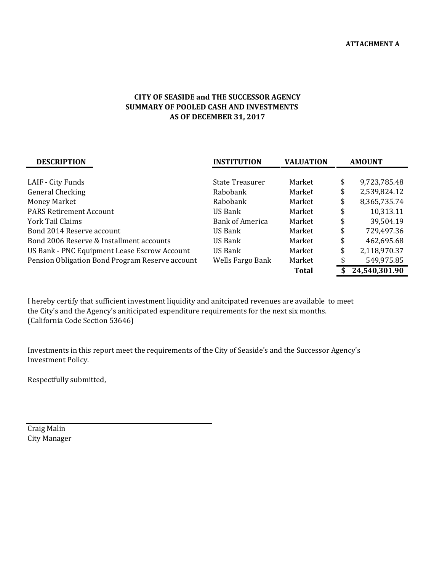## **AS OF DECEMBER 31, 2017 CITY OF SEASIDE and THE SUCCESSOR AGENCY SUMMARY OF POOLED CASH AND INVESTMENTS**

| <b>DESCRIPTION</b>                              | <b>INSTITUTION</b>     | <b>VALUATION</b> | <b>AMOUNT</b>      |  |
|-------------------------------------------------|------------------------|------------------|--------------------|--|
|                                                 |                        |                  |                    |  |
| LAIF - City Funds                               | <b>State Treasurer</b> | Market           | \$<br>9,723,785.48 |  |
| <b>General Checking</b>                         | Rabobank               | Market           | \$<br>2,539,824.12 |  |
| <b>Money Market</b>                             | Rabobank               | Market           | \$<br>8,365,735.74 |  |
| <b>PARS Retirement Account</b>                  | US Bank                | Market           | \$<br>10,313.11    |  |
| York Tail Claims                                | <b>Bank of America</b> | Market           | \$<br>39,504.19    |  |
| Bond 2014 Reserve account                       | US Bank                | Market           | \$<br>729,497.36   |  |
| Bond 2006 Reserve & Installment accounts        | US Bank                | Market           | \$<br>462,695.68   |  |
| US Bank - PNC Equipment Lease Escrow Account    | US Bank                | Market           | \$<br>2,118,970.37 |  |
| Pension Obligation Bond Program Reserve account | Wells Fargo Bank       | Market           | 549,975.85         |  |
|                                                 |                        | <b>Total</b>     | 24,540,301.90      |  |

I hereby certify that sufficient investment liquidity and anitcipated revenues are available to meet the City's and the Agency's aniticipated expenditure requirements for the next six months. (California Code Section 53646)

Investments in this report meet the requirements of the City of Seaside's and the Successor Agency's Investment Policy.

Respectfully submitted,

**Craig Malin** City Manager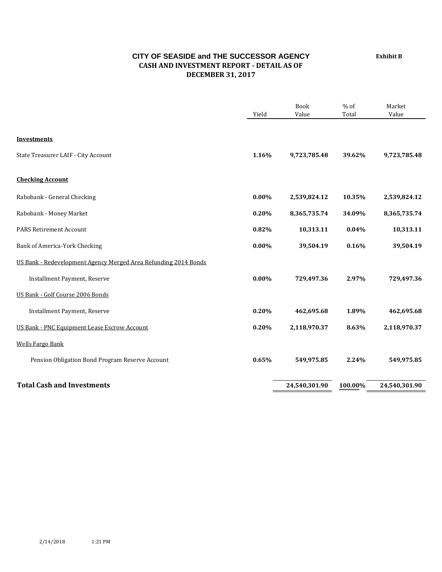## **CITY OF SEASIDE and THE SUCCESSOR AGENCY CASH AND INVESTMENT REPORT ‐ DETAIL AS OF DECEMBER 31, 2017**

Book % of Market Yield Value Total Value **Investments** State Treasurer LAIF - City Account **1.16% 1.16% 9,723,785.48 39.62% 9,723,785.48 Checking Account Rabobank** - General Checking **1.12 10.35% 2,539,824.12 10.35% 2,539,824.12 10.35% 2,539,824.12 Rabobank** - Money Market **0.20% 8,365,735.74 8,365,735.74 8,365,735.74 8,365,735.74 8,365,735.74 8,365,735.74 8,365,735.74 8,365,735.74 8,365,735.74 8,365,735.74 8,365,735.74 8,365,735.74 8,365,735.74 8,365,735.74 8,365,7 PARS Retirement Account 10.313.11 10.313.11 10.313.11 10.313.11 10.313.11 10.313.11** Bank of America-York Checking **1.18 and 2.000 1.000 1.000 1.000 1.000 1.16% 39,504.19 39,504.19** US Bank - Redevelopment Agency Merged Area Refunding 2014 Bonds **Installment Payment, Reserve 1.29,497.36 1.29,497.36 1.29,497.36 1.29,497.36 1.29,497.36 1.29,497.36** US Bank - Golf Course 2006 Bonds **Installment Payment, Reserve 1.89% 1.89% 462,695.68 1.89% 462,695.68** US Bank - PNC Equipment Lease Escrow Account **0.20%** 2,118,970.37 **8.63%** 2,118,970.37 **Wells Fargo Bank Pension Obligation Bond Program Reserve Account**  $\begin{array}{ccc}\n & 0.65\% & 549,975.85 & 2.24\% & 549,975.85\n\end{array}$ **Total Cash and Investments 24,540,301.90 100.00% 24,540,301.90**

**Exhibit B**